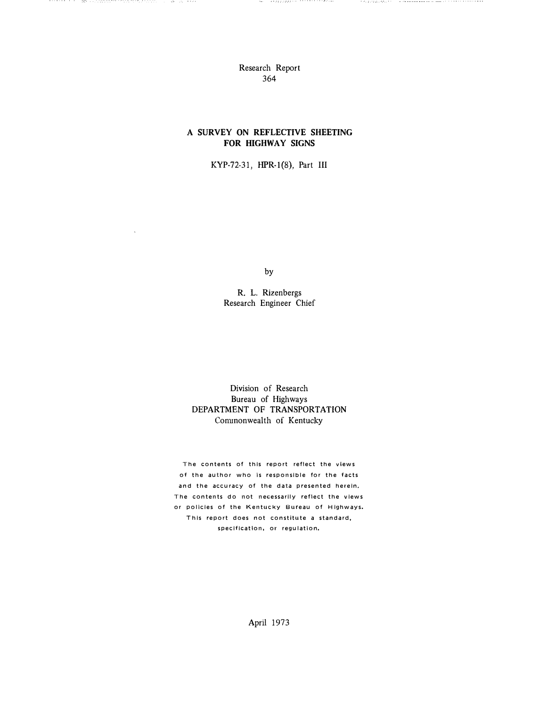Research Report 364

- 11 1 2 2 2 2 2 2 2 3 3

ti ma dan babayan Katalun

. . . . . . . . . . . . **.** .

**Allen STAR** 

### A SURVEY ON REFLECTIVE SHEETING FOR HIGHWAY SIGNS

KYP-72-31, HPR-1(8), Part III

by

R. L. Rizenbergs Research Engineer Chief

Division of Research Bureau of Highways DEPARTMENT OF TRANSPORTATION Conunonwealth of Kentucky

The contents of this report reflect the views of the author who is responsible for the facts and the accuracy of the data presented herein. The contents do not necessarily reflect the views or policies of the Kentucky Bureau of Highways. This report does not constitute a standard, specification, or regulation.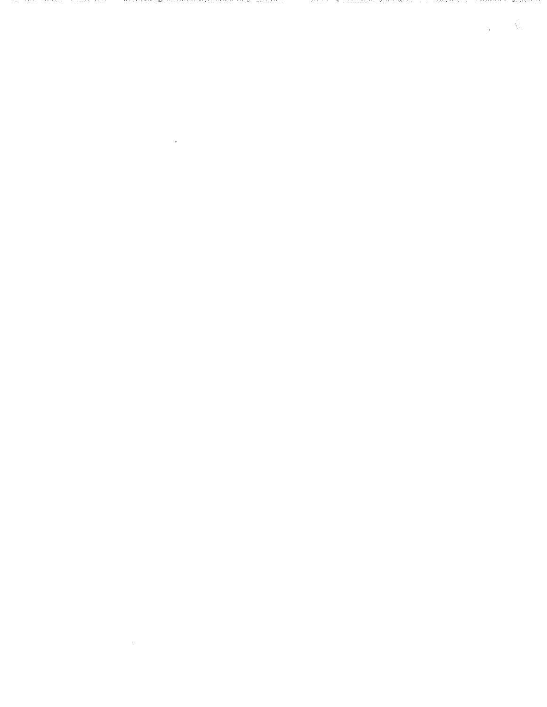$\mathcal{L}(\mathcal{L})$  and  $\mathcal{L}(\mathcal{L})$  and  $\mathcal{L}(\mathcal{L})$ 

 $\mathcal{L}(\mathcal{L}^{\mathcal{L}})$  and  $\mathcal{L}(\mathcal{L}^{\mathcal{L}})$  and  $\mathcal{L}(\mathcal{L}^{\mathcal{L}})$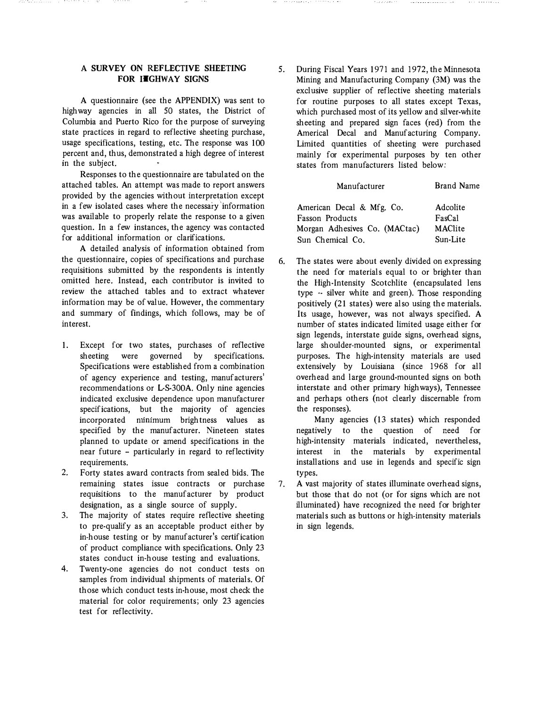#### A SURVEY ON REFLECTIVE SHEETING FOR ITGHWAY SIGNS

A questionnaire {see the APPENDIX) was sent to highway agencies in all 50 states, the District of Columbia and Puerto Rico for the purpose of surveying state practices in regard to reflective sheeting purchase, usage specifications, testing, etc. The response was 100 percent and, thus, demonstrated a high degree of interest in the subject.

Responses to the questionnaire are tabulated on the attached tables. An attempt was made to report answers provided by the agencies without interpretation except in a few isolated cases where the necessary information was available to properly relate the response to a given question. In a few instances, the agency was contacted for additional information or clarifications.

A detailed analysis of information obtained from the questionnaire, copies of specifications and purchase requisitions submitted by the respondents is intently omitted here. Instead, each contributor is invited to review the attached tables and to extract whatever information may be of value. However, the commentary and summary of findings, which follows, may be of interest.

- 1. Except for two states, purchases of reflective sheeting were governed by specifications. Specifications were established from a combination of agency experience and testing, manufacturers' recommendations or L-S-300A. Only nine agencies indicated exclusive dependence upon manufacturer specifications, but the majority of agencies incorporated nunimum brightness values as specified by the manufacturer. Nineteen states planned to update or amend specifications in the near future -- particularly in regard to reflectivity requirements.
- 2. Forty states award contracts from sealed bids. The remaining states issue contracts or purchase requisitions to the manufacturer by product designation, as a single source of supply.
- 3. The majority of states require refiective sheeting to pre·qualify as an acceptable product either by in-house testing or by manufacturer's certification of product compliance with specifications. Only 23 states conduct in-house testing and evaluations.
- 4. Twenty-one agencies do not conduct tests on samples from individual shipments of materials. Of those which conduct tests in-house, most check the material for color requirements; only 23 agencies test for reflectivity.

5. During Fiscal Years 1971 and 1972, the Minnesota Mining and Manufacturing Company {3M) was the exclusive supplier of reflective sheeting materials for routine purposes to all states except Texas, which purchased most of its yellow and silver-white sheeting and prepared sign faces (red) from the America! Decal and Manufacturing Company. Limited quantities of sheeting were purchased mainly for experimental purposes by ten other states from manufacturers listed below:

| Manufacturer                  | <b>Brand Name</b> |  |  |  |
|-------------------------------|-------------------|--|--|--|
| American Decal & Mfg. Co.     | Adcolite          |  |  |  |
| Fasson Products               | FasCal            |  |  |  |
| Morgan Adhesives Co. (MACtac) | MAClite           |  |  |  |
| Sun Chemical Co.              | Sun-Lite          |  |  |  |

6. The states were about evenly divided on expressing the need for materials equal to or brighter than the High·lntensity Scotchlite (encapsulated lens type ·· silver white and green). Those responding positively {21 states) were also using the materials. Its usage, however, was not always specified. A number of states indicated limited usage either for sign legends, interstate guide signs, overhead signs, large shoulder-mounted signs, or experimental purposes. The high·intensity materials are used extensively by Louisiana (since 1968 for all overhead and large ground-mounted signs on both interstate and other primary highways), Tennessee and perhaps others {not clearly discernable from the responses).

Many agencies {13 states) which responded negatively to the question of need for high-intensity materials indicated, nevertheless, interest in the materials by experimental installations and use in legends and specific sign types.

7. A vast majority of states illuminate overhead signs, but those that do not (or for signs which are not illuminated) have recognized the need for brighter materials such as buttons or high-intensity materials in sign legends.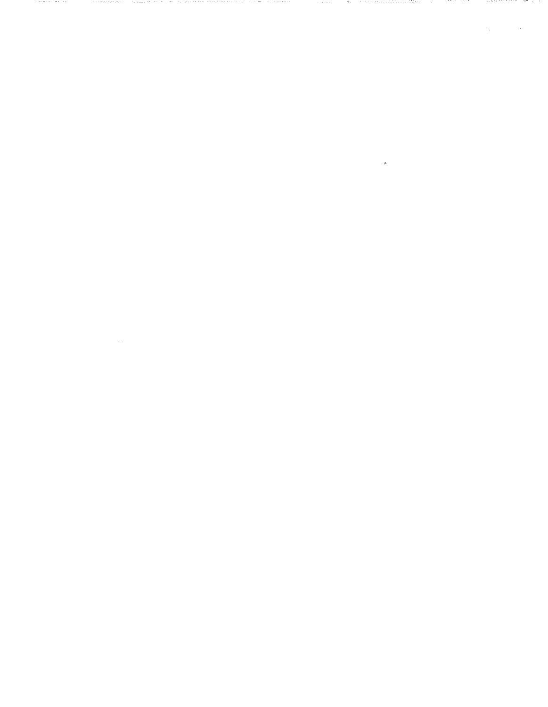, as we see that we note that the  $\mathcal{F}_\mathcal{F}$  $\label{eq:1} \frac{1}{\sqrt{2\pi}}\int_{\mathbb{R}^3}\frac{1}{\sqrt{2\pi}}\int_{\mathbb{R}^3}\frac{1}{\sqrt{2\pi}}\int_{\mathbb{R}^3}\frac{1}{\sqrt{2\pi}}\int_{\mathbb{R}^3}\frac{1}{\sqrt{2\pi}}\int_{\mathbb{R}^3}\frac{1}{\sqrt{2\pi}}\int_{\mathbb{R}^3}\frac{1}{\sqrt{2\pi}}\int_{\mathbb{R}^3}\frac{1}{\sqrt{2\pi}}\int_{\mathbb{R}^3}\frac{1}{\sqrt{2\pi}}\int_{\mathbb{R}^3}\frac{1}{\$  $\label{eq:2.1} \mathcal{L}(\mathcal{L}^{\mathcal{L}}_{\mathcal{L}}(\mathcal{L}^{\mathcal{L}}_{\mathcal{L}})) = \mathcal{L}(\mathcal{L}^{\mathcal{L}}_{\mathcal{L}}(\mathcal{L}^{\mathcal{L}}_{\mathcal{L}})) = \mathcal{L}(\mathcal{L}^{\mathcal{L}}_{\mathcal{L}}(\mathcal{L}^{\mathcal{L}}_{\mathcal{L}}))$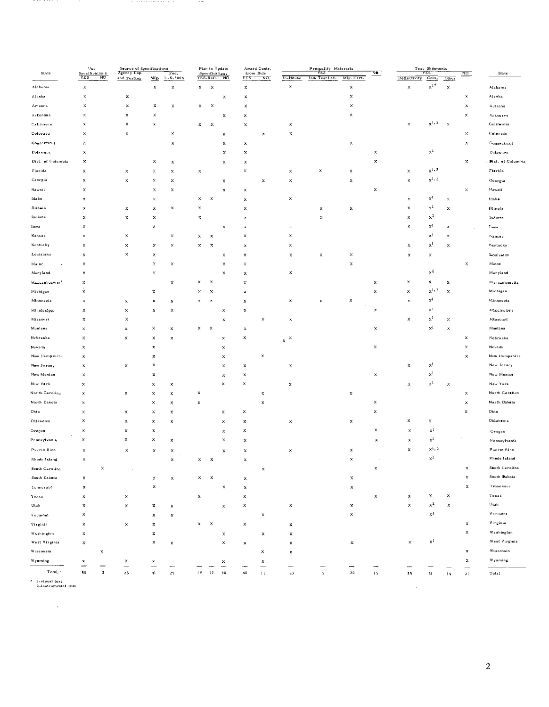| State             | Usc<br>Specifications | Source of Specifications<br>Agency Exp. |                           | Fed.                     |              | Plan to Update<br>Specifications |                           |                | Award Contr.<br>from Bide |                           | Prequalify Materials<br><b>YES</b> |             | NO |              | Test Shipments<br><b>YES</b>  |                           | NQ                        | State             |
|-------------------|-----------------------|-----------------------------------------|---------------------------|--------------------------|--------------|----------------------------------|---------------------------|----------------|---------------------------|---------------------------|------------------------------------|-------------|----|--------------|-------------------------------|---------------------------|---------------------------|-------------------|
|                   | YES.<br>NQ            | and Testing                             | Mig.                      | L.S.300 <sub>A</sub>     |              | YES-Reft.                        | NO.                       | YES            | NO.                       | <b>In-House</b>           | Ind. TestLab.                      | Mfg. Cert.  |    | Reflectivity | $_{\text{Colar}}$             | Other                     |                           |                   |
| Ala ba ma         | $\mathbf x$           |                                         | x                         | x                        | x            | x                                |                           | x              |                           | $\mathbf x$               |                                    | x           |    | $\mathbf x$  | $\mathbf{x}^{1^{\textup{v}}}$ | $\mathbf x$               |                           | Alabama           |
| Alaska            | ×                     | x                                       |                           |                          |              |                                  | $\boldsymbol{\times}$     | х              |                           |                           |                                    | x           |    |              |                               |                           | х                         | Alaska            |
| Arizona           | $\,$ X                | $\boldsymbol{\times}$                   | х                         | $\mathbf x$              | x            | x                                |                           | x              |                           |                           |                                    | х           |    |              |                               |                           | $\mathbf x$               | Arizona           |
| Arkansas          | $\mathbf x$           | x                                       | x                         |                          |              |                                  | $\mathbf x$               | х              |                           |                           |                                    | x           |    |              |                               |                           | х                         | Arkansas          |
| California        | $\pmb{\times}$        | $\mathbf x$                             | x                         |                          | $\mathbf x$  | x                                |                           | $\mathbf x$    |                           | $\boldsymbol{\mathsf{x}}$ |                                    |             |    | х            | $x^1$ , 2                     | $\mathbf{x}$              |                           | California        |
| Colorado          | $\pmb{\times}$        | $\mathbf x$                             |                           | $\mathbf x$              |              |                                  | $\boldsymbol{\mathsf{x}}$ |                | $\pmb{\times}$            | $\mathbf x$               |                                    |             |    |              |                               |                           | x                         | Colorado          |
| Connecticut       | $\mathsf x$           |                                         |                           | $\mathbf x$              |              |                                  | x                         | $\mathbf x$    |                           |                           |                                    | $\mathbf x$ |    |              |                               |                           | x                         | Connecticut       |
| Delaware          | $\boldsymbol{\times}$ |                                         |                           |                          |              |                                  | $\bf x$                   | x              |                           |                           |                                    |             | х  |              | $x^{\downarrow}$              |                           |                           | Delaware          |
| Dist. of Columbia | $\mathbf x$           |                                         | х                         | x                        |              |                                  | $\mathbf x$               | x              |                           |                           |                                    |             | x  |              |                               |                           | x                         | Dist. of Columbia |
| Florida           | $\mathbf x$           | x                                       | x                         | x                        | x            |                                  |                           | х              |                           | $\boldsymbol{\mathrm{x}}$ | x                                  | х           |    | х            | $x^1$ , 2                     |                           |                           | Florida           |
| Georgia           | $\mathbf x$           | x                                       | ×                         | x                        |              |                                  | $\mathbf x$               |                | x                         | $\mathbf x$               |                                    | x           |    | x            | $x^1$ , 2                     |                           |                           | Georgia           |
| Hawaii            | $\mathbf x$           |                                         | $\times$                  | $\mathbf x$              |              |                                  | $\mathbf x$               | $\pmb{\times}$ |                           |                           |                                    |             | х  |              |                               |                           | $\mathsf{x}$              | Hawaii            |
| Idaho             | x                     |                                         | $\boldsymbol{\mathsf{x}}$ |                          | х            | х                                |                           | х              |                           | $\mathbf x$               |                                    |             |    | $\mathbf x$  | x <sup>1</sup>                | $\mathbf x$               |                           | <b>Idaho</b>      |
| Illineis          | $\pmb{\times}$        | $\mathbf x$                             | x                         | x                        | x            |                                  |                           | х              |                           |                           | $\mathbf x$                        | x           |    | х            | $x_1$                         | x                         |                           | llinois           |
| indiana           | $\mathbf x$           | $\bf x$                                 | x                         |                          | $\mathbf x$  |                                  |                           | $\mathbf x$    |                           |                           | ×                                  |             |    | x            | $x^2$                         |                           |                           | Indiana           |
| lowa              | х                     |                                         | $\mathbf x$               |                          |              |                                  | $\pmb{\times}$            | x              |                           | $\mathbf x$               |                                    |             |    | x            | $\mathbf{x}^1$                | ×                         |                           | Iowa              |
| Кальав            | x                     | x                                       |                           | Х                        | $\mathbf x$  | x                                |                           | x              |                           | x                         |                                    |             |    |              | $x_1$                         | x                         |                           | Kansas            |
| Kentucky          | x                     | $\mathbf x$                             | х                         | Х                        | x            | x                                |                           | х              |                           | х                         |                                    |             |    | x            | $\mathbf{x}^{\mathbf{i}}$     | x                         |                           | Kentucky          |
| Louisiana         | х                     | x                                       | х                         |                          |              |                                  | х                         | x              |                           | $\mathbf x$               | $\pmb{\chi}$                       | х           |    | x            | $\pmb{\times}$                |                           |                           | Louisiana         |
| Maine             | x                     |                                         | X                         | х                        |              |                                  | $\mathbf x$               | х              |                           |                           |                                    | x           |    |              |                               |                           | х                         | Maine             |
| Maryland          | х                     |                                         | х                         |                          |              |                                  | х                         | x              |                           | х                         |                                    |             |    |              | $\times^2$                    |                           |                           | Maryland          |
| Massachusetts'    | ×                     |                                         |                           | x                        | x            | х                                |                           | х              |                           |                           |                                    |             | x  | х            | $\boldsymbol{\mathsf{x}}$     | х                         |                           | Massachusetts     |
| Michigan          | $\mathbf x$           |                                         | x                         |                          | x            | x                                |                           | x              |                           |                           |                                    |             | х  | х            | $x1$ , 2                      | х                         |                           | Michigan          |
| Minne sota        | х                     | ×                                       | x                         | x                        | x            | x                                |                           | х              |                           | х                         | х                                  | х           |    | $\mathbf x$  | x <sup>1</sup>                |                           |                           | Minnesota         |
| Mississippi       | x                     | ×                                       | х                         | х                        |              |                                  | x                         | x              |                           |                           |                                    |             | x  |              | $\mathbf{x}^1$                |                           |                           | Mississippi       |
| Missouri          | x                     | x                                       |                           |                          |              |                                  | $\pmb{\times}$            |                | $_{\rm X}$                | ×                         |                                    |             |    | $\mathsf x$  | x <sup>1</sup>                | x                         |                           | Missouri          |
| Montana           | x                     | х                                       | х                         | х                        | х            | $\,$ x                           |                           | x              |                           |                           |                                    |             | x  |              | $\mathbf{x}^1$                | $\mathsf{x}$              |                           | Montana           |
| Nebraska          | x                     | $\mathbf x$                             | x                         | х                        |              |                                  | $\mathsf{x}$              | х              |                           | $_{\rm k}$ $\times$       |                                    |             |    |              |                               |                           | x                         | Nebraska          |
| Nevada            | х                     |                                         | $\mathbf x$               |                          |              |                                  | x                         |                |                           |                           |                                    |             | х  |              |                               |                           | x                         | Nevada            |
| New Hampshire     | x                     |                                         | $\mathbf x$               |                          |              |                                  | $\mathbf x$               |                | $\mathsf x$               |                           |                                    |             |    |              |                               |                           | $\boldsymbol{\mathsf{x}}$ | New Hampshire     |
| Now Jorsey        | x                     | $\mathbf x$                             | x                         |                          |              |                                  | $\bf x$                   | x              |                           | $\mathbf x$               |                                    |             |    | х            | $\mathbf{x}^1$                |                           |                           | New Jersey        |
| New Mexico        | x                     |                                         | x                         |                          |              |                                  | x                         | х              |                           |                           |                                    |             | x  |              | x <sup>1</sup>                |                           |                           | New Mexico        |
| Now York          | x                     |                                         | х                         | x                        |              |                                  | x                         | $\mathbf x$    |                           | x                         |                                    |             |    | х            | x <sup>1</sup>                | $\boldsymbol{\mathsf{x}}$ |                           | New York          |
| North Carolina    | x                     | х                                       | x                         | x                        | x            |                                  |                           |                | х                         |                           |                                    | x           |    |              |                               |                           | x                         | North Carolina    |
| North Dakota      | x                     |                                         | x                         | x                        | x            |                                  |                           |                | х                         |                           |                                    |             | х  |              |                               |                           | х                         | North Dakota      |
| Ohio              | x                     | $\mathbf x$                             | х                         | x                        |              |                                  | x                         | х              |                           |                           |                                    |             | х  |              |                               |                           | x                         | Ohio              |
| Oklahoma          | х                     | x                                       | х                         | x                        |              |                                  | $\mathbf x$               | x              |                           | $\bf x$                   |                                    | x           |    | х            | х                             |                           |                           | Oidahoma          |
| Oregon            | x                     | $\mathbf x$                             | х                         |                          |              |                                  | $\mathbf x$               | х              |                           |                           |                                    |             | х  | x            | x <sup>1</sup>                |                           |                           | Oregan            |
| Pennsylvania      | x                     | х                                       | х                         | x                        |              |                                  | x                         | x              |                           |                           |                                    |             | x  | x            | $x^1$                         |                           |                           | Pennsylvania      |
| Puerto Rico       | ×                     | х                                       | x                         | x                        |              |                                  | x                         | x              |                           | $\boldsymbol{\mathrm{x}}$ |                                    | x           |    | x            | 2 ، اج                        |                           |                           | Puerto Rico       |
| Rhode Island      | x                     |                                         |                           | х                        | x            | x                                |                           | x              |                           |                           |                                    | x           |    |              | $x^1$                         |                           |                           | Rhode Island      |
| South Carolina    | х                     | $\alpha$                                |                           |                          |              |                                  |                           |                | $\mathbf x$               |                           |                                    |             | x  |              |                               |                           | x                         | South Carolina    |
| South Dakota      | x                     |                                         | $\,$ X                    | x                        | х            | $\,$ X                           |                           | x              |                           |                           |                                    | $\mathbf x$ |    |              |                               |                           | $\mathbf x$               | South Dakota      |
| Tennessee         | $\mathbf x$           |                                         | $\mathbf x$               |                          |              |                                  | $\mathbf x$               | x              |                           |                           |                                    | $\mathbf x$ |    |              |                               |                           | х                         | $T$ ennessec      |
| Texas             | x                     | $\pmb{\times}$                          |                           |                          | $\mathbf x$  |                                  |                           | $\mathsf x$    |                           |                           |                                    |             | х  | $\mathbf x$  | $\mathbf{x}$                  | $\mathbf x$               |                           | 'l'exas           |
| Utah              | $\mathbf x$           | $\times$                                | x                         | $\mathbf x$              |              |                                  | $\mathbf x$               | $\mathbf x$    |                           | $\mathbf x$               |                                    | x           |    | х            | $x^2$                         | х                         |                           | Utah              |
| Vermont           | $_\mathrm{x}$         |                                         | $\bf x$                   | $\mathbf x$              |              |                                  |                           |                | $\mathbf x$               |                           |                                    | x           |    |              | x <sup>1</sup>                |                           |                           | Vermont           |
| Virginia          | x                     | $\pmb{\times}$                          | $\mathbf x$               |                          | $\mathbf{x}$ | $\,$ X                           |                           | $\mathsf x$    |                           | $\mathbf x$               |                                    |             |    |              |                               |                           | x                         | Virginia          |
| Washington        | x                     |                                         | $\mathbf x$               |                          |              |                                  | $\mathbf x$               |                | $\mathbf x$               | $\mathbf x$               |                                    |             |    |              |                               |                           | $\mathbf x$               | Washington        |
| West Virginia     | $\mathbf x$           |                                         | х                         | $\mathbf x$              |              |                                  | x                         | $\mathbf x$    |                           | $\mathbf x$               |                                    | $\mathbf x$ |    | х            | x <sup>1</sup>                |                           |                           | West Virginia     |
| Wisconsin         | $\mathbf x$           |                                         |                           |                          |              |                                  |                           |                | x                         | $\boldsymbol{\mathsf{X}}$ |                                    |             |    |              |                               |                           | $\mathbf x$               | Wisconsin         |
| Wyeming           | x                     | х                                       | x                         |                          |              |                                  | x                         |                | x                         |                           |                                    |             |    |              |                               |                           | $\, {\bf x}$              | Wyoming           |
| Total:            | -                     | $\overline{\phantom{0}}$                | -                         | $\overline{\phantom{a}}$ |              |                                  | --                        |                | $\overline{\phantom{0}}$  | $\overline{\phantom{a}}$  |                                    |             |    |              |                               |                           | $\overline{\phantom{0}}$  |                   |
|                   | 50<br>$\mathbf{z}$    | $\mathbf{2.8}$                          | $41\,$                    | 29                       | 19           | $13 - 30$                        |                           | 40             | 11                        | 2.3                       | ${\bf 5}$                          | ${\bf 20}$  | 15 | 23           | $31$                          | 14                        | 21                        | Total             |

\* 1.visual test<br>2.instrumental test

 $\label{eq:2.1} \frac{1}{\sqrt{2}}\int_{\mathbb{R}^3}\frac{1}{\sqrt{2}}\left(\frac{1}{\sqrt{2}}\right)^2\frac{1}{\sqrt{2}}\left(\frac{1}{\sqrt{2}}\right)^2\frac{1}{\sqrt{2}}\left(\frac{1}{\sqrt{2}}\right)^2.$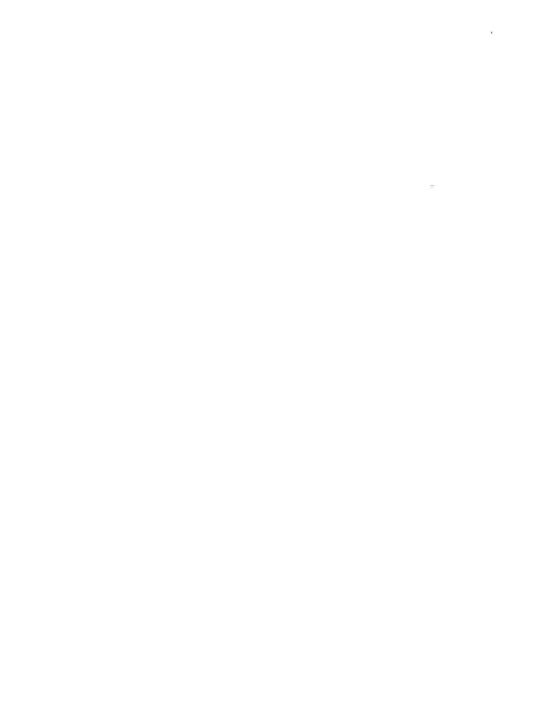$\label{eq:2} \mathcal{L} = \mathcal{L} \left( \mathcal{L} \right) \mathcal{L} \left( \mathcal{L} \right)$  $\label{eq:1} \mathcal{L}_{\text{max}} = \mathcal{L}_{\text{max}} = \mathcal{L}_{\text{max}} = \mathcal{L}_{\text{max}}$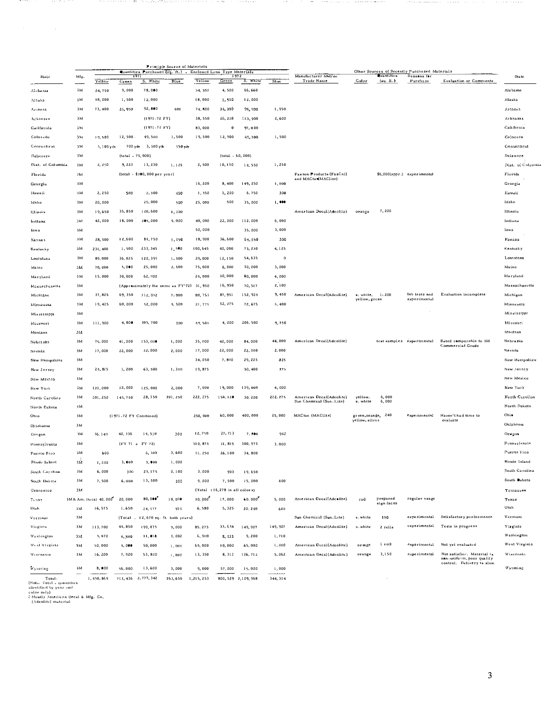|                                                                                                                                           |                |                        |                  |                              | Principle Source of Materials<br>Quantities Purchased (sq. ft.) - Enclosed Lens Type Materials |           |                                |                      |                |                                                 |                    |                        | Other Sources of Recently Purchased Materials |                                                                                       |                             |
|-------------------------------------------------------------------------------------------------------------------------------------------|----------------|------------------------|------------------|------------------------------|------------------------------------------------------------------------------------------------|-----------|--------------------------------|----------------------|----------------|-------------------------------------------------|--------------------|------------------------|-----------------------------------------------|---------------------------------------------------------------------------------------|-----------------------------|
| State                                                                                                                                     | Mfg.           |                        |                  | 1971<br>S. White             |                                                                                                | Yellow    | Green                          | 1972<br>S. White     |                | Manufacturer and/or<br>Trade Name               | Color              | Quantities<br>[aq, n]  | Reasons for<br>Purchase                       | Evaluation or Comments                                                                | State                       |
|                                                                                                                                           |                | Yellow                 | Green            |                              | Blue                                                                                           |           |                                |                      | Blue           |                                                 |                    |                        |                                               |                                                                                       |                             |
| Alabana                                                                                                                                   | ЗM             | 24,750                 | 9,000            | 78,0●0                       |                                                                                                | 34, 350   | 4,500                          | 66,660               |                |                                                 |                    |                        |                                               |                                                                                       | Alabarna                    |
| Alaska                                                                                                                                    | 3 M            | 18,000                 | 1,500            | 12,000                       |                                                                                                | 18,000    | 1,500                          | 12,000               |                |                                                 |                    |                        |                                               |                                                                                       | Alaska                      |
| Arizona                                                                                                                                   | 3M             | 73,400                 | 25,950           | 92,800                       | 400                                                                                            | 74,800    | 34, 350                        | 95,900               | 1,950          |                                                 |                    |                        |                                               |                                                                                       | Arizona                     |
| Arkansas                                                                                                                                  | 3 M            |                        |                  | $(1971 - 72 FY)$             |                                                                                                | 38,550    | 26,228                         | 123,900              | 2,600          |                                                 |                    |                        |                                               |                                                                                       | Arkansas                    |
| California                                                                                                                                | 3 M            |                        |                  | (1971-72 FY)                 |                                                                                                | 83,000    | $\mathbf 0$                    | 97, 400              |                |                                                 |                    |                        |                                               |                                                                                       | Cali fornia                 |
| Colorado                                                                                                                                  | 3M             | 19,500                 | 12,500           | 49,500                       | 1,500                                                                                          | 19,500    | 12,500                         | 49,500               | 1,500          |                                                 |                    |                        |                                               |                                                                                       | Colorado                    |
| Connecticut                                                                                                                               | 3M             | 5,100 yds              | 700 yda          | 3,500 yos                    | 550 yda                                                                                        |           |                                |                      |                |                                                 |                    |                        |                                               |                                                                                       | Connecticut                 |
| Delaware                                                                                                                                  | 3 M            |                        | (total - 75,000) |                              |                                                                                                |           |                                | $(total - 60, 000)$  |                |                                                 |                    |                        |                                               |                                                                                       | Delaware                    |
| Dist. of Columbia                                                                                                                         | 3M             | 2,250                  | 9, 225           | 13,230                       | 1,125                                                                                          | 2,500     | 10,150                         | 14,550               | 1,250          |                                                 |                    |                        |                                               |                                                                                       | Dist. of Columbia           |
| Florida                                                                                                                                   | 3M             |                        |                  | (total - \$300,000 per year) |                                                                                                |           |                                |                      |                | Fasson Products (FasCal)<br>and MACta (MAClite) |                    |                        | \$6,000(appr.) experimental                   |                                                                                       | Florida                     |
| Georgia                                                                                                                                   | 3M             |                        |                  |                              |                                                                                                | 16,200    | 8,400                          | 149,250              | 1,800          |                                                 |                    |                        |                                               |                                                                                       | Georgia                     |
| <b>Hawaii</b>                                                                                                                             | 3M             | 2,250                  | 500              | 2,300                        | 450                                                                                            | 1,350     | 1,200                          | 6,750                | 300            |                                                 |                    |                        |                                               |                                                                                       | Hawaii                      |
| ldaho                                                                                                                                     | 3M             | 20,000                 |                  | 25,000                       | 500                                                                                            | 25, DOD   | 500                            | 35,000               | <b>I</b> , 999 |                                                 |                    |                        |                                               |                                                                                       | Idaho                       |
| Illinois                                                                                                                                  | 3M             | 19,650                 | 35, 850          | 120,600                      | 1,200                                                                                          |           |                                |                      |                | American Docal(Adcolite)                        | orange             | 7,200                  |                                               |                                                                                       | lllinois                    |
| Indiana                                                                                                                                   | 3M             | 42,000                 | 18.000           | 205,000                      | 4,000                                                                                          | 40,000    | 22,000                         | 112,000              | 6,000          |                                                 |                    |                        |                                               |                                                                                       | Indiana                     |
| lowa                                                                                                                                      | 3M             |                        |                  |                              |                                                                                                | 50,000    |                                | 35,000               | 3,000          |                                                 |                    |                        |                                               |                                                                                       | Iowa                        |
| Kansas                                                                                                                                    | 3M             | 28,500                 | 12,600           | <b>BI,750</b>                | 1.050                                                                                          | 18,900    | 36,600                         | 64,650               | 300            |                                                 |                    |                        |                                               |                                                                                       | Kansas                      |
| Kentucky                                                                                                                                  | 3M             | 231, 400               | 1,500            | 233, 345                     | 1,500                                                                                          | 100,645   | 10,000                         | 73,230               | 4,125          |                                                 |                    |                        |                                               |                                                                                       | Kentucky                    |
| Louisiana                                                                                                                                 | 3M             | 89,000                 | 36,025           | 120, 395                     | 1,500                                                                                          | 29,000    | 12,150                         | 54,635               | $\,$ 0         |                                                 |                    |                        |                                               |                                                                                       | Louisiana                   |
| Maine                                                                                                                                     | 3M             | 70,000                 | 5,000            | 25,000                       | 2,500                                                                                          | 75,000    | 8,000                          | 30,000               | 3,000          |                                                 |                    |                        |                                               |                                                                                       | Maino                       |
| Maryland                                                                                                                                  | 3 M            | 15,000                 | 30,000           | 62,000                       |                                                                                                | 24,000    | 30,000                         | 80,000               | 4,000          |                                                 |                    |                        |                                               |                                                                                       | Maryland                    |
| Massachusetts                                                                                                                             | 3M             |                        |                  |                              | (Approximately the same as FY'72)                                                              | 31,950    | 16,950                         | 70, 517              | 2,100          |                                                 |                    |                        |                                               |                                                                                       | Massachusetls               |
| Michigan                                                                                                                                  | 3M             | 37,825                 | 69, 350          | 112,932                      | 7,900                                                                                          | 80,753    | 87, 951                        | 152, 924             | 9,450          | American Decal(Adcolite)                        |                    | a. white, 1,200        | lab tests and                                 | Evaluation incomplete                                                                 | Michigan                    |
| Minnesota                                                                                                                                 | 3M             | 19,425                 | 60,000           | 52,000                       | 4,500                                                                                          | 21,775    | 52, 275                        | 72,675               | 5,400          |                                                 | yellow, green      |                        | experimental                                  |                                                                                       | Minnesota                   |
| Mississippi                                                                                                                               | 3M             |                        |                  |                              |                                                                                                |           |                                |                      |                |                                                 |                    |                        |                                               |                                                                                       | Mississippi                 |
| Missouri                                                                                                                                  | 3M             | 111,900                | 4,80●            | 303, 700                     | 900                                                                                            | 49,500    | 4,200                          | 206, 500             | 9,750          |                                                 |                    |                        |                                               |                                                                                       | Міввоигі                    |
| Montana                                                                                                                                   | 3M             |                        |                  |                              |                                                                                                |           |                                |                      |                |                                                 |                    |                        |                                               |                                                                                       | Montana                     |
| Nobraska                                                                                                                                  | 3M             | 75,000                 | 41,000           | 153,000                      | I,000                                                                                          | 35,000    | 42,000                         | 84,000               | 44,000         | American Decal(Adcolite)                        |                    |                        | test samples experimental                     | Rated comparable to 3M                                                                | Nebraska                    |
| Nevada                                                                                                                                    | 3M             | 17,000                 | 22,000           | 22,000                       | 2,000                                                                                          | 17,000    | 22,000                         | 22,000               | 2,000          |                                                 |                    |                        |                                               | Commercial Grade                                                                      | Nevaria                     |
| New Hampshire                                                                                                                             | 3M             |                        |                  |                              |                                                                                                | 34,050    | 7,800                          | 29,225               | 825            |                                                 |                    |                        |                                               |                                                                                       | New Hampshire               |
| New Jersey                                                                                                                                | 3M             | 25,875                 | 1,200            | 63,500                       | 1,300                                                                                          | 19,875    |                                | 50,400               | 375            |                                                 |                    |                        |                                               |                                                                                       | New Jersey                  |
| New Mexico                                                                                                                                | 3M             |                        |                  |                              |                                                                                                |           |                                |                      |                |                                                 |                    |                        |                                               |                                                                                       | New Mexico                  |
| New York                                                                                                                                  | 3M             | 121,000                | 22,000           | 125,000                      | 2,000                                                                                          | 7.000     | 19,000                         | 139,000              | 4,000          |                                                 |                    |                        |                                               |                                                                                       | New York                    |
| North Carolina                                                                                                                            | 3 M            | 201,250                | 143,750          | 28,750                       | 201,250                                                                                        | 222, 275  | 158,120                        | 30, 200              | 222, 275       | American Decal(Adcolite)                        | yellow.            | 6,000                  |                                               |                                                                                       | North Carolina              |
| North Dakota                                                                                                                              | 3 M            |                        |                  |                              |                                                                                                |           |                                |                      |                | Sun Chemical (Sun-Lite)                         | s. white           | 6,000                  |                                               |                                                                                       | North Dakota                |
| Ohio                                                                                                                                      | 3 M            |                        |                  | $(1971 - 72$ FY Combined)    |                                                                                                | 250,000   | 60,000                         | 400,000              | 25,000         | MACtac (MAClite)                                | green, orange, 240 |                        | experimental                                  | Haven't had time to                                                                   | Ohio                        |
|                                                                                                                                           | 3 M            |                        |                  |                              |                                                                                                |           |                                |                      |                |                                                 | yellow, silver     |                        |                                               | evaluate                                                                              | Oklahoma                    |
| Oklahoma<br>Oregon                                                                                                                        | 3M             | 36, 149                | 42, 336          | 14,550                       | 304                                                                                            | 12,750    | 27, 713                        | 7,800                | 942            |                                                 |                    |                        |                                               |                                                                                       | Oregon                      |
|                                                                                                                                           |                |                        |                  |                              |                                                                                                |           |                                |                      |                |                                                 |                    |                        |                                               |                                                                                       |                             |
| Pennsylvania                                                                                                                              | 3M             |                        |                  | $(YY 71 + FY 72)$            |                                                                                                | 310, 875  | 31,875                         | 300, 975             | 3,000          |                                                 |                    |                        |                                               |                                                                                       | Pennsylvania<br>Puerto Rico |
| Puerto Rico                                                                                                                               | 3M             | 600                    |                  | 6,300                        | 3,600                                                                                          | 11, 250   | 26,100                         | 34,800               |                |                                                 |                    |                        |                                               |                                                                                       | Rhode Island                |
| Rhode Island                                                                                                                              | 3M             | 1,000                  | 3,000            | 3,000                        | 1,000                                                                                          |           |                                |                      |                |                                                 |                    |                        |                                               |                                                                                       |                             |
| South Carolina                                                                                                                            | 3M             | 6,000                  | 300              | 23, 175                      | 2,100                                                                                          | 3,000     | 900                            | 19,650               |                |                                                 |                    |                        |                                               |                                                                                       | South Carolina              |
| South Dakota                                                                                                                              | 3M             | 7,500                  | 6,000            | 13,500                       | 300                                                                                            | 9,000     | 7,500                          | 15,000               | 600            |                                                 |                    |                        |                                               |                                                                                       | South Dakota                |
| Tennessee                                                                                                                                 | 3M             |                        |                  |                              |                                                                                                |           | {Total : 16,278 in all colors} |                      |                |                                                 |                    |                        |                                               |                                                                                       | Tennessee                   |
| Texas                                                                                                                                     |                | 3M & Am. Decal 40, 000 | 20,000           | 80,000 <sup>*</sup>          | 10,000                                                                                         | 30,000    | 17,000                         | 60,000               | 5,000          | American Decal(Adcollte)                        | red                | Prepared<br>sign faces | regular neago                                 |                                                                                       | Texas                       |
| Utah                                                                                                                                      | 3M             | 16,575                 | 1,650            | 24, 577                      | 975                                                                                            | 6,580     | 5,325                          | 20, 240              | 600            |                                                 |                    |                        |                                               |                                                                                       | Utah                        |
| Vermont                                                                                                                                   | 3M             |                        | (Total<br>$\sim$ |                              | 12,670 sq. ft. both years)                                                                     |           |                                |                      |                | Sun Chemical (Sun_Lite)                         | s. white           | 150                    | experimental                                  | Satisfactory performance                                                              | Vermont                     |
| Virginta                                                                                                                                  | 3 M            | 113,700                | 44,850           | 199.875                      | 9,000                                                                                          | 85, 275   | 33.638                         | 149,907              | 149,907        | American Decal (Adcollte)                       | s. white           | 2 rolls                | experimental                                  | Tests in progress                                                                     | Virginia                    |
| Washington                                                                                                                                | 3M             | 3,870                  | 8,380            | 11,018                       | 3,002                                                                                          | 6,900     | 8, 533                         | 9,200                | 1,710          |                                                 |                    |                        |                                               |                                                                                       | Washington                  |
| West Virginia                                                                                                                             | 3 <sub>M</sub> | 50,000                 | 5,000            | 50,000                       | 1,000                                                                                          | 65,000    | 10,000                         | 65,000               | 1,000          | American Decal(Adcolite)                        | orange             | l roll                 | experimental                                  | Not yet evaluated                                                                     | West Virginia               |
| Wisconsin                                                                                                                                 | 3M             | 16,200                 | 7,920            | 53,820                       | 1,800                                                                                          | 13, 350   | 8, 312                         | 126,712              | 5,062          | American Deca) (Adcolite)                       | orange             | 3,150                  | experimental                                  | Not satisfier. Material is<br>non-uniform, poor quality<br>control. Delivery is slow, | Wisconsin                   |
| Wyoming                                                                                                                                   | 3M             | <b>B, ●00</b>          | 56,000           | 13,600                       | 3,000                                                                                          | 9,000     | 57,000                         | 15,000               | 1,000          |                                                 |                    |                        |                                               |                                                                                       | Wyoming                     |
| Total:<br>(Note: Total = quantities<br>identified by year and<br>color only)<br>@ Mostly American Decal & Mfg. Co.<br>(Adcolite) material |                | 1,450,869              |                  | 713, 436 2, 775, 342         | 263,656                                                                                        | 1,215,253 |                                | 800, 529 2, 109, 968 | 344, 314       |                                                 |                    | $\alpha$               |                                               |                                                                                       |                             |

and the company of the company of the company of the company of the company of the company of the company of the company of the company of the company of the company of the company of the company of the company of the comp

 $\mathcal{A}^{\text{max}}_{\text{max}}$ 

i i Parr

n na ara-tha am meire n

e me

アイナスト

. <del>.</del> . . . . . . . . .

anyong sa " The come "Pateticities"

 $\sim$  10  $\pm$  10  $\pm$  10  $\pm$ 

. . . . **.** . . . . . .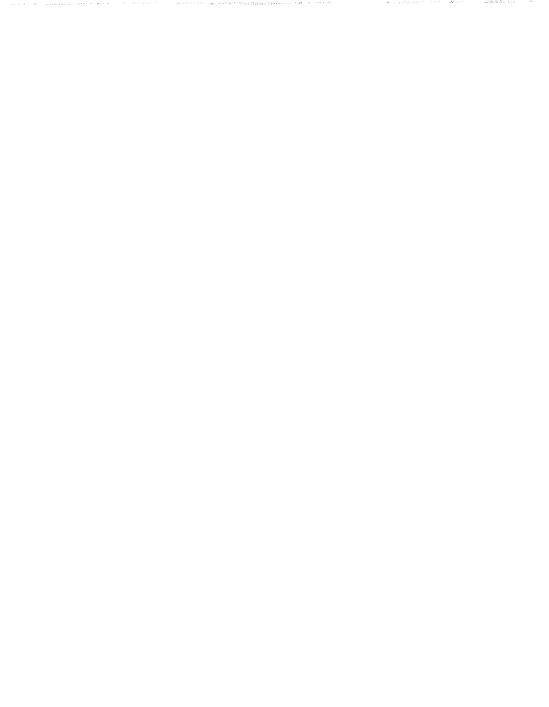n bandisi sa salah 1980 - Palis Perengah Mu

and the contract of the contract of

and the state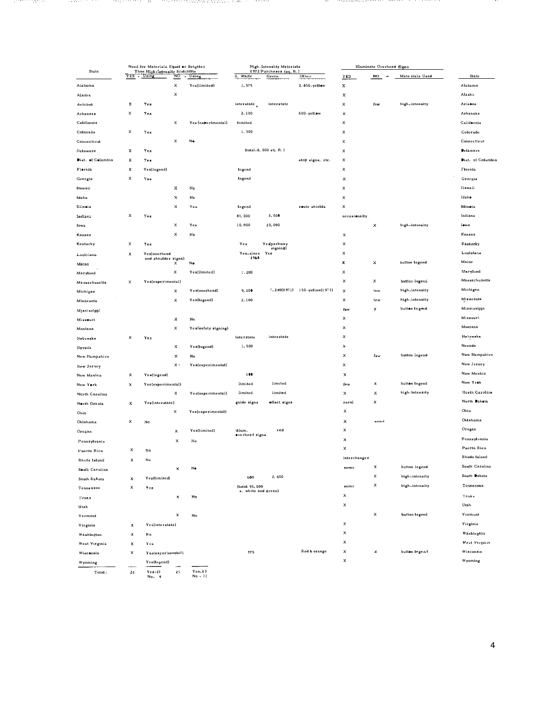|                   |                | Need for Materials Equal or Brighter            |           |                     |                     | High-Intensity Materials          |                              |                  | Illuminate Overhead Signs |                 |                    |
|-------------------|----------------|-------------------------------------------------|-----------|---------------------|---------------------|-----------------------------------|------------------------------|------------------|---------------------------|-----------------|--------------------|
| State             |                | Than High-Intensity Scolchlite<br>$YES - Using$ | NQ        | Using               | S. White            | 1972 Purchases (sq. ft.)<br>Gruen | Other                        | YES              | NO                        | Mate rials Used | State              |
| Alabama           |                |                                                 | х         | Ycs(llmited)        | 1,575               |                                   | 2.850-yellow                 | x                |                           |                 | Alabama            |
| Alaska            |                |                                                 | х         |                     |                     |                                   |                              | x                |                           |                 | Alaska             |
| Arizona           | x              | Yes                                             |           |                     | interstate          | interetate                        |                              | x                | few                       | high_intensity  | Arizona            |
| Arkansas          | х              | Yes                                             |           |                     | 2.100               |                                   | 600-yellow                   | x                |                           |                 | Arkansas           |
| California        |                |                                                 | х         | Yes (experimental)  | limited             |                                   |                              | x                |                           |                 | California         |
| Colorado          | х              | Yes                                             |           |                     | 1,500               |                                   |                              | x                |                           |                 | Colorado           |
| Connecticut       |                |                                                 | х         | N.                  |                     |                                   |                              | x                |                           |                 | Connecticut        |
| Delaware          | x              | Yes                                             |           |                     |                     | (total-6, 000 sq. ft.)            |                              | x                |                           |                 | <b>D</b> claware   |
| Dist. of Columbia | x              | Yes                                             |           |                     |                     |                                   | stop signs, etc.             | x                |                           |                 | Dist. of Columbia  |
| Florida           | x              | Yes(legend)                                     |           |                     | legend              |                                   |                              | x                |                           |                 | Florida            |
| Georgia           | x              | Yes                                             |           |                     | legend              |                                   |                              | x                |                           |                 | Georgia            |
| Hawaii            |                |                                                 | х         | No                  |                     |                                   |                              | х                |                           |                 | Hawaii             |
| Idaho             |                |                                                 | х         | No                  |                     |                                   |                              | х                |                           |                 | Idabe              |
| Illinois          |                |                                                 | x         | Yes                 | legend              |                                   | route shields                | х                |                           |                 | <b>Illinois</b>    |
| Indiana           | x              | Yes                                             |           |                     | 81,000              | 3,000                             |                              | occasionally     |                           |                 | Indiana            |
| Iowa              |                |                                                 | х         | Yes                 | 10,000              | 20,000                            |                              |                  | x                         | high-intensity  | Iewa               |
| Kansas            |                |                                                 | х         | No                  |                     |                                   |                              | x                |                           |                 | Kansas             |
| Kentucky          | х              | Yes                                             |           |                     | Yes                 | Yesparkway                        |                              | x                |                           |                 | Kentucky           |
| Louisiana         | ×              | Yes (overhead                                   |           |                     | Yes_since           | signing)<br>Yes                   |                              | x                |                           |                 | Louisiana          |
| Maine             |                | and shoulder signs)                             | х         | N.                  | 1968                |                                   |                              | x                | X                         | button legend   | Maine              |
| Maryland          |                |                                                 | х         | Yes(limited)        | 1,200               |                                   |                              | х                |                           |                 | Maryland           |
| Magaachusetts     | х              | Yes(experimental)                               |           |                     |                     |                                   |                              | x                | х                         | button legend   | Massachusetts      |
| Michigan          |                |                                                 | х         | Yes(overhead)       | 9,200               |                                   | 7,240(1971) 150-yellow(1971) | x                | few                       | high-intensity  | Michigan           |
| Minnesota         |                |                                                 | х         | Yes(legend)         | 2,100               |                                   |                              | х                | few                       | high-intensity  | Missesota          |
| Mississippi       |                |                                                 |           |                     |                     |                                   |                              | few              | x                         | button legend   | Mississippi        |
| Missouri          |                |                                                 | х         | No                  |                     |                                   |                              | x                |                           |                 | Missouri           |
| Montana           |                |                                                 | x         | Yes(safety signing) |                     |                                   |                              | х                |                           |                 | Montana            |
| Nebraska          | x              | Yes                                             |           |                     | interstate          | interstate                        |                              | х                |                           |                 | Nebraska           |
| Nevada            |                |                                                 | x         | Yes(logend)         | 1,500               |                                   |                              | х                |                           |                 | Nevada             |
| New Hampshire     |                |                                                 | x         | No                  |                     |                                   |                              | х                | few                       | button legend   | New Hampshire      |
| New Jersey        |                |                                                 | $x \cdot$ | Yes(experimental)   |                     |                                   |                              | х                |                           |                 | New Jersey         |
| New Mexico        | x              | Yes(legend)                                     |           |                     | $\mathbf{H}$        |                                   |                              | x                |                           |                 | Now Mexico         |
| New York          | x              | Yee(experimental)                               |           |                     | limited             | limited                           |                              | few              | ×                         | button legend   | Now Yrek           |
| North Carolina    |                |                                                 | х         | Yes(oxperimental)   | limited             | limited                           |                              | x                | х                         | high-intensity  | North Carolina     |
| North Dakota      | x              | Yes(interstate)                                 |           |                     | guide signs         | offset signs                      |                              | rural            | x                         |                 | North Dakota       |
| Ohio              |                |                                                 | х         | Yes(experimental)   |                     |                                   |                              | $\mathbf x$      |                           |                 | Ohio               |
| Oklahoma          | х              | No                                              |           |                     |                     |                                   |                              | x                | $_{\rm q\,cm}$ e          |                 | Oklahoma           |
| Oregan            |                |                                                 | x         | Yes(limited)        | illum.              | red                               |                              | х                |                           |                 | Oregan             |
| Pennsylvania      |                |                                                 | х         | No                  | overhead signs      |                                   |                              | ×                |                           |                 | Pennsylvania       |
| Puerto Rico       | x              | No                                              |           |                     |                     |                                   |                              | x                |                           |                 | <b>Puerto Rico</b> |
| Rhode Islund      | x              | No                                              |           |                     |                     |                                   |                              | interchanges     |                           |                 | Rhodo Island       |
| South Carolina    |                |                                                 | х         | N.                  |                     |                                   |                              | $_{\text{same}}$ | x                         | button legend   | South Carolina     |
| South Dakota      | x              | Yes(limlted)                                    |           |                     | 600                 | 2,400                             |                              |                  | х                         | high-intensity  | South Dakota       |
| Tennessoo         | x              | Yes                                             |           |                     | (total 95,000       |                                   |                              | some             | х                         | high-intensity  | Tennessee          |
|                   |                |                                                 | x         | No                  | s. white and green) |                                   |                              | x                |                           |                 | Texas              |
| Toxas<br>Utah     |                |                                                 |           |                     |                     |                                   |                              | x                |                           |                 | Utah               |
| Vermont           |                |                                                 | x         | No                  |                     |                                   |                              |                  | x                         | button legend   | Vermont            |
| Virginia          | ×              | Yes(interstate)                                 |           |                     |                     |                                   |                              | х                |                           |                 | Virginia           |
| Washington        | $\mathbf x$    | No                                              |           |                     |                     |                                   |                              | х                |                           |                 | Washington         |
| West Virginia     | $\pmb{\times}$ | Yes                                             |           |                     |                     |                                   |                              | х                |                           |                 | West Virginia      |
|                   | х              | Yes(experimental)                               |           |                     | 375                 |                                   | Red & orange                 | х                | x                         | button lege-nd  | Wisconsin          |
| Wisconsin         |                | Yes(legend)                                     |           |                     |                     |                                   |                              | x                |                           |                 | Wyoming            |
| Wyoming           | 24             | $Y \epsilon 8 - 21$                             | 25        | Yea.13              |                     |                                   |                              |                  |                           |                 |                    |
| Total:            |                | N <sub>0</sub>                                  |           | $No - I1$           |                     |                                   |                              |                  |                           |                 |                    |

the contract of the company of the contract of the contract of the contract of the contract of the contract of

a shi ne matsayin

a serikata di San

a stredig para partido de 1980.<br>Notas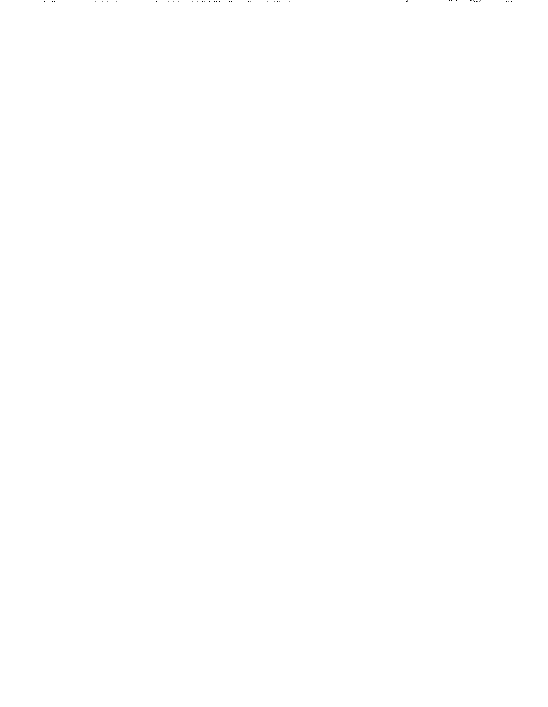$\alpha$  , and  $\alpha$  , and  $\alpha$  , and  $\alpha$  , and  $\alpha$  , and  $\alpha$  , and  $\alpha$  and  $\alpha$  , and  $\alpha$ and the company of the company of the - Abs. and the production of the transit different of a serengan penganjuruhan penganjuruhan per  $\label{eq:1} \frac{1}{\sqrt{2\pi}}\sum_{i=1}^n\frac{1}{\sqrt{2\pi}}\sum_{i=1}^n\frac{1}{\sqrt{2\pi}}\sum_{i=1}^n\frac{1}{\sqrt{2\pi}}\sum_{i=1}^n\frac{1}{\sqrt{2\pi}}\sum_{i=1}^n\frac{1}{\sqrt{2\pi}}\sum_{i=1}^n\frac{1}{\sqrt{2\pi}}\sum_{i=1}^n\frac{1}{\sqrt{2\pi}}\sum_{i=1}^n\frac{1}{\sqrt{2\pi}}\sum_{i=1}^n\frac{1}{\sqrt{2\pi}}\sum_{i=1}^n\frac{$ 

the community of the community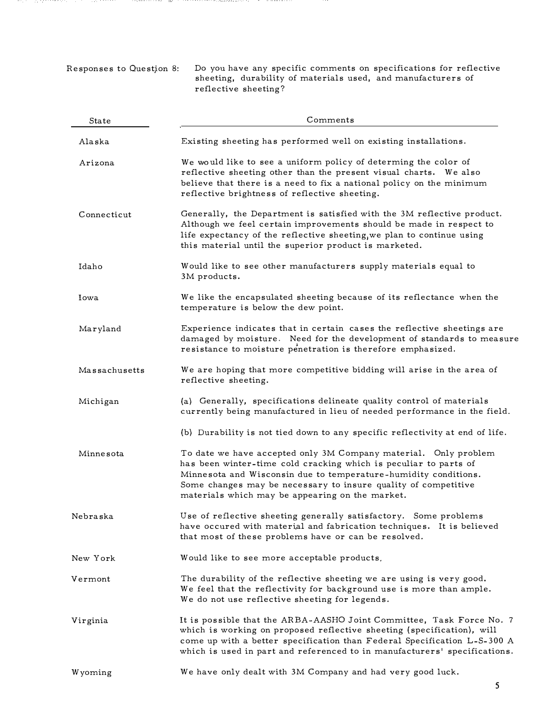Responses to Question 8: Do you have any specific comments on specifications for reflective sheeting, durability of materials used, and manufacturers of reflective sheeting?

| State         | Comments                                                                                                                                                                                                                                                                                                                    |
|---------------|-----------------------------------------------------------------------------------------------------------------------------------------------------------------------------------------------------------------------------------------------------------------------------------------------------------------------------|
| Alaska        | Existing sheeting has performed well on existing installations.                                                                                                                                                                                                                                                             |
| Arizona       | We would like to see a uniform policy of determing the color of<br>reflective sheeting other than the present visual charts. We also<br>believe that there is a need to fix a national policy on the minimum<br>reflective brightness of reflective sheeting.                                                               |
| Connecticut   | Generally, the Department is satisfied with the 3M reflective product.<br>Although we feel certain improvements should be made in respect to<br>life expectancy of the reflective sheeting, we plan to continue using<br>this material until the superior product is marketed.                                              |
| Idaho         | Would like to see other manufacturers supply materials equal to<br>3M products.                                                                                                                                                                                                                                             |
| Iowa          | We like the encapsulated sheeting because of its reflectance when the<br>temperature is below the dew point.                                                                                                                                                                                                                |
| Maryland      | Experience indicates that in certain cases the reflective sheetings are<br>damaged by moisture. Need for the development of standards to measure<br>resistance to moisture penetration is therefore emphasized.                                                                                                             |
| Massachusetts | We are hoping that more competitive bidding will arise in the area of<br>reflective sheeting.                                                                                                                                                                                                                               |
| Michigan      | (a) Generally, specifications delineate quality control of materials<br>currently being manufactured in lieu of needed performance in the field.                                                                                                                                                                            |
|               | (b) Durability is not tied down to any specific reflectivity at end of life.                                                                                                                                                                                                                                                |
| Minnesota     | To date we have accepted only 3M Company material. Only problem<br>has been winter-time cold cracking which is peculiar to parts of<br>Minnesota and Wisconsin due to temperature-humidity conditions.<br>Some changes may be necessary to insure quality of competitive<br>materials which may be appearing on the market. |
| Nebraska      | Use of reflective sheeting generally satisfactory. Some problems<br>have occured with material and fabrication techniques. It is believed<br>that most of these problems have or can be resolved.                                                                                                                           |
| New York      | Would like to see more acceptable products,                                                                                                                                                                                                                                                                                 |
| Vermont       | The durability of the reflective sheeting we are using is very good.<br>We feel that the reflectivity for background use is more than ample.<br>We do not use reflective sheeting for legends.                                                                                                                              |
| Virginia      | It is possible that the ARBA-AASHO Joint Committee, Task Force No. 7<br>which is working on proposed reflective sheeting (specification), will<br>come up with a better specification than Federal Specification L-S-300 A<br>which is used in part and referenced to in manufacturers' specifications.                     |
| Wyoming       | We have only dealt with 3M Company and had very good luck.                                                                                                                                                                                                                                                                  |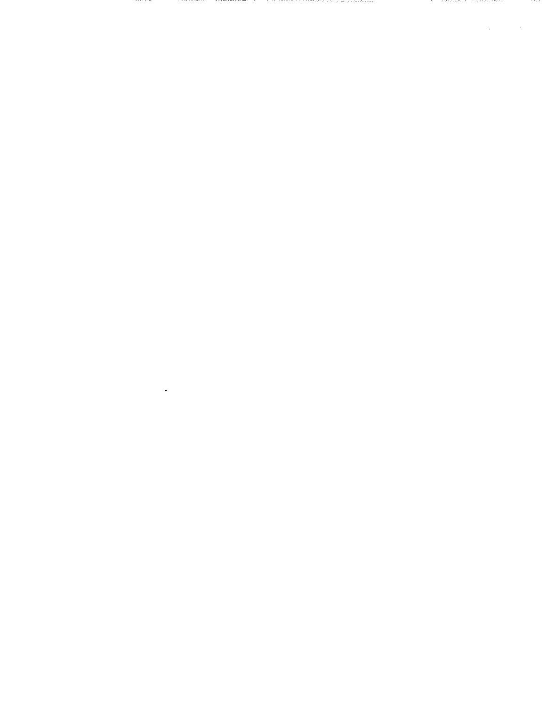.........

 $\label{eq:3.1} \eta_{\rm eff} = \frac{1}{\eta_{\rm eff}} \frac{1}{\eta_{\rm eff}} \frac{1}{\eta_{\rm eff}} \frac{1}{\eta_{\rm eff}} \frac{1}{\eta_{\rm eff}} \frac{1}{\eta_{\rm eff}} \frac{1}{\eta_{\rm eff}} \frac{1}{\eta_{\rm eff}} \frac{1}{\eta_{\rm eff}} \frac{1}{\eta_{\rm eff}} \frac{1}{\eta_{\rm eff}} \frac{1}{\eta_{\rm eff}} \frac{1}{\eta_{\rm eff}} \frac{1}{\eta_{\rm eff}} \frac{1}{\eta_{\rm eff}} \frac{1}{\eta_{\rm eff}} \frac{1}{\eta_{\rm eff$ 

 $\label{eq:2.1} \frac{1}{\sqrt{2\pi}}\int_{\mathbb{R}^3}\frac{1}{\sqrt{2\pi}}\int_{\mathbb{R}^3}\frac{1}{\sqrt{2\pi}}\int_{\mathbb{R}^3}\frac{1}{\sqrt{2\pi}}\int_{\mathbb{R}^3}\frac{1}{\sqrt{2\pi}}\int_{\mathbb{R}^3}\frac{1}{\sqrt{2\pi}}\int_{\mathbb{R}^3}\frac{1}{\sqrt{2\pi}}\int_{\mathbb{R}^3}\frac{1}{\sqrt{2\pi}}\int_{\mathbb{R}^3}\frac{1}{\sqrt{2\pi}}\int_{\mathbb{R}^3}\frac{1$ 

a sa na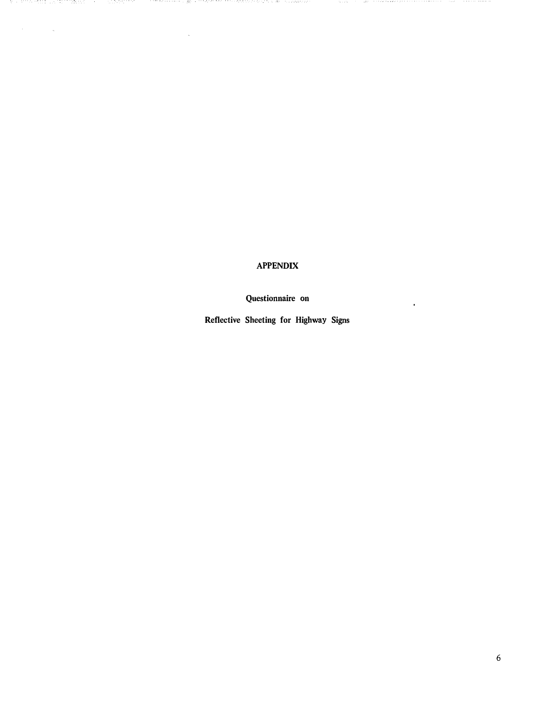# APPENDIX

5 B

e e statutut zi

-22

 $\bar{1}$ 

-9.5999

 $\mathcal{H}^{\text{max}}_{\text{max}}$  and  $\mathcal{H}^{\text{max}}_{\text{max}}$ 

- ಭಾರತ

i sa katika Ta

77 H S

 $\bar{\bar{z}}$ 

# Questionnaire on

Reflective Sheeting for Highway Signs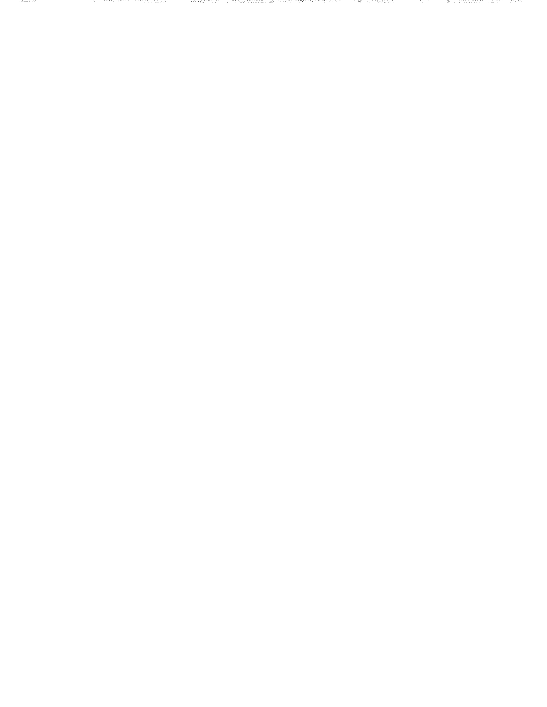**Continued States** 

**HARANTA DI** 

a da 1980 a contra propinsi Antonio

a a 19 de abrilho de la Calaca de Se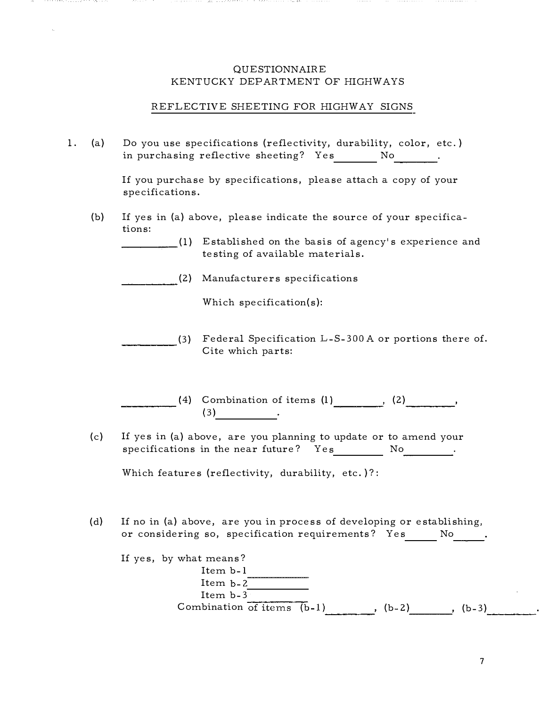## QUESTIONNAIRE KENTUCKY DEPARTMENT OF HIGHWAYS

## REFLECTIVE SHEETING FOR HIGHWAY SIGNS

l. (a) Do you use specifications (reflectivity, durability, color, etc.) in purchasing reflective sheeting? Yes No  $\blacksquare$ 

> If you purchase by specifications, please attach a copy of your specifications.

(b) If yes in (a) above, please indicate the source of your specifica tions:

\_\_\_\_\_\_\_\_\_\_\_(1) Established on the basis of agency's experience and testing of available materials.

----- (2) Manufacturers specifications

Which specification(s):

- (3) Federal Specification L-S-300 A or portions there of. Cite which parts:
- (4) Combination of items (1) (2)  $(3)$  .
- (c) If yes in (a) above, are you planning to update or to amend your specifications in the near future? Yes No No  $\cdot$

Which features (reflectivity, durability, etc.)?:

(d) If no in (a) above, are you in process of developing or establishing, or considering so, specification requirements? Yes No .

| If yes, by what means?       |         |         |  |
|------------------------------|---------|---------|--|
| Item $b-1$                   |         |         |  |
| Item $b-2$                   |         |         |  |
| Item $b-3$                   |         |         |  |
| Combination of items $(b-1)$ | $(b-2)$ | $(b-3)$ |  |

7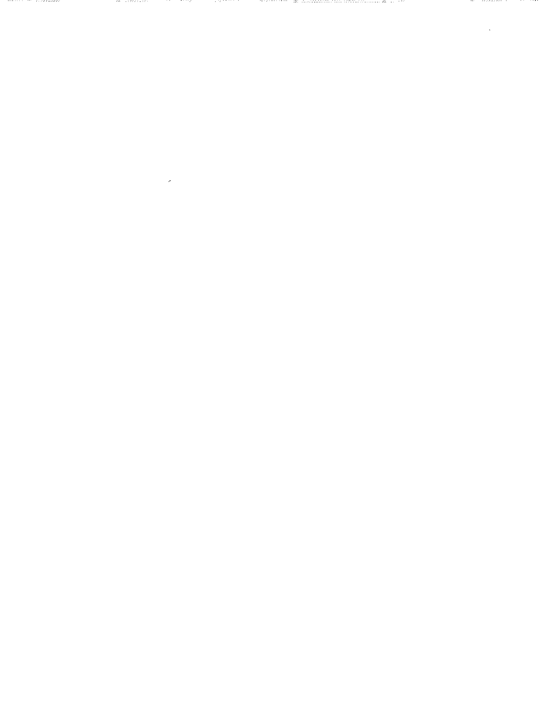and the contract of the contract of the contract of the contract of the contract of the contract of the contract of the contract of the contract of the contract of the contract of the contract of the contract of the contra

a matang

 $\mathcal{L}^{\text{max}}_{\text{max}}$  , where  $\mathcal{L}^{\text{max}}_{\text{max}}$ 

a series de la

i sta ta a ta a ta a ta 1980 - 2001 - 2002 A MARAMANIN A MARA A MATANA A A A A LETIN A BATTA LA TA A TA TA A T

**SALE** a ang pangkalang s

 $\label{eq:2} \frac{1}{2} \int_{\mathbb{R}^3} \frac{1}{\sqrt{2}} \, \mathrm{d} \mu \, \mathrm{d} \mu \, \mathrm{d} \mu \, \mathrm{d} \mu \, \mathrm{d} \mu \, \mathrm{d} \mu \, \mathrm{d} \mu \, \mathrm{d} \mu \, \mathrm{d} \mu \, \mathrm{d} \mu \, \mathrm{d} \mu \, \mathrm{d} \mu \, \mathrm{d} \mu \, \mathrm{d} \mu \, \mathrm{d} \mu \, \mathrm{d} \mu \, \mathrm{d} \mu \, \mathrm{d} \mu \, \mathrm{d} \mu \, \mathrm{d} \mu \, \mathrm$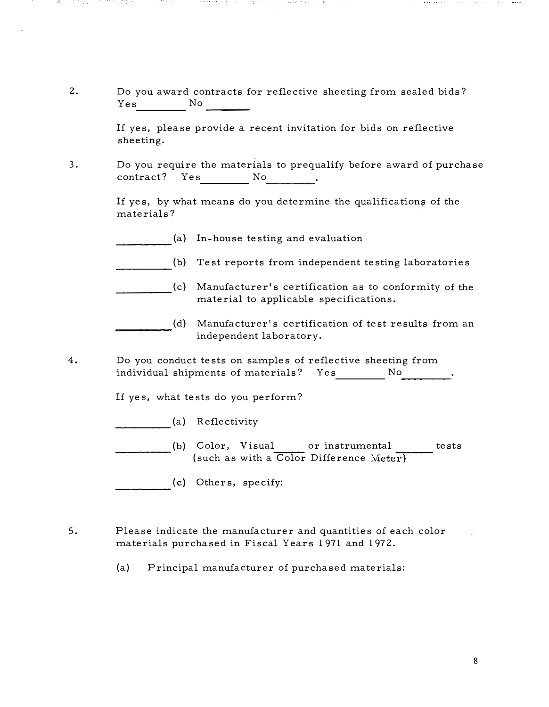2. Do you award contracts for reflective sheeting from sealed bids?  $Yes$   $No$ 

internet terre i Ballis 1940

If yes, please provide a recent invitation for bids on reflective sheeting.

in 1986 - Localitation

a de la proposició de la contrata de la contrata de las

3. Do you require the materials to prequalify before award of purchase contract? Yes No .

> If yes, by what means do you determine the qualifications of the materials?

---

|    |      | (a) In-house testing and evaluation                                                                          |
|----|------|--------------------------------------------------------------------------------------------------------------|
|    | (b)  | Test reports from independent testing laboratories                                                           |
|    | (c). | Manufacturer's certification as to conformity of the<br>material to applicable specifications.               |
|    | (d)  | Manufacturer's certification of test results from an<br>independent laboratory.                              |
| 4. |      | Do you conduct tests on samples of reflective sheeting from<br>individual shipments of materials? Yes<br>No. |

If yes, what tests do you perform?

(a) Reflectivity

18 - Francis Color I

ನಗಿ ಅಂತಹಿಸಿದ

(b) Color, Visual or instrumental tests (such as with a Color Difference Meter)<br>
(c) Others, specify:

(c) Others, specify:

- 5. Please indicate the manufacturer and quantities of each color materials purchased in Fiscal Years 1971 and 1972.
	- (a) Principal manufacturer of purchased materials: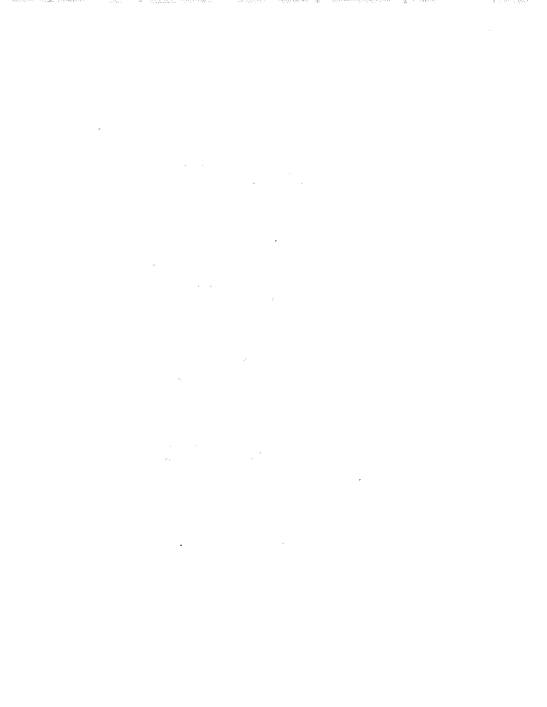$\label{eq:2.1} \mathcal{L}(\mathcal{L}^{\text{max}}_{\mathcal{L}}(\mathcal{L}^{\text{max}}_{\mathcal{L}}))\leq \mathcal{L}(\mathcal{L}^{\text{max}}_{\mathcal{L}}(\mathcal{L}^{\text{max}}_{\mathcal{L}}))$ 

 $\mathcal{L}^{\mathcal{L}}(\mathcal{L}^{\mathcal{L}})$  and  $\mathcal{L}^{\mathcal{L}}(\mathcal{L}^{\mathcal{L}})$  . In the contract of the contract of  $\mathcal{L}^{\mathcal{L}}$  $\label{eq:2.1} \frac{1}{\sqrt{2\pi}}\int_{0}^{\infty}d\mu\int_{0}^{\infty}d\mu\int_{0}^{\infty}d\mu\int_{0}^{\infty}d\mu\int_{0}^{\infty}d\mu\int_{0}^{\infty}d\mu\int_{0}^{\infty}d\mu\int_{0}^{\infty}d\mu\int_{0}^{\infty}d\mu\int_{0}^{\infty}d\mu\int_{0}^{\infty}d\mu\int_{0}^{\infty}d\mu\int_{0}^{\infty}d\mu\int_{0}^{\infty}d\mu\int_{0}^{\infty}d\mu\int_{0$ 

 $\label{eq:2.1} \begin{split} \mathcal{L}_{\text{max}}(\mathcal{L}_{\text{max}}(\mathbf{X}, \mathbf{X})) = \mathcal{L}_{\text{max}}(\mathcal{L}_{\text{max}}(\mathbf{X}, \mathbf{X})) \times \mathcal{L}_{\text{max}}(\mathbf{X}, \mathbf{X}) \times \mathcal{L}_{\text{max}}(\mathbf{X}, \mathbf{X}) \times \mathcal{L}_{\text{max}}(\mathbf{X}, \mathbf{X}) \times \mathcal{L}_{\text{max}}(\mathbf{X}, \mathbf{X}) \times \mathcal{L}_{\text{max}}(\mathbf{X}, \mathbf{X}) \times \mathcal{L}_{\text{max$  $\label{eq:2.1} \mathcal{L}(\mathcal{L}) = \mathcal{L}(\mathcal{L}) \mathcal{L}(\mathcal{L}) = \mathcal{L}(\mathcal{L}) \mathcal{L}(\mathcal{L})$ 

 $\label{eq:2.1} \mathcal{L}_{\mathcal{A}}(\mathcal{A}) = \mathcal{L}_{\mathcal{A}}(\mathcal{A}) = \mathcal{L}_{\mathcal{A}}(\mathcal{A})$ 

 $\label{eq:3.1} \mathbf{F}_{\mathbf{r}}(t) = \mathbf{F}_{\mathbf{r}}(t) + \mathbf{F}_{\mathbf{r}}(t) + \mathbf{F}_{\mathbf{r}}(t)$ 

 $\label{eq:2.1} \frac{1}{2} \int_{\mathbb{R}^3} \frac{1}{\sqrt{2}} \, \frac{1}{\sqrt{2}} \, \frac{1}{\sqrt{2}} \, \frac{1}{\sqrt{2}} \, \frac{1}{\sqrt{2}} \, \frac{1}{\sqrt{2}} \, \frac{1}{\sqrt{2}} \, \frac{1}{\sqrt{2}} \, \frac{1}{\sqrt{2}} \, \frac{1}{\sqrt{2}} \, \frac{1}{\sqrt{2}} \, \frac{1}{\sqrt{2}} \, \frac{1}{\sqrt{2}} \, \frac{1}{\sqrt{2}} \, \frac{1}{\sqrt{2}} \, \frac{1}{\sqrt{2}} \,$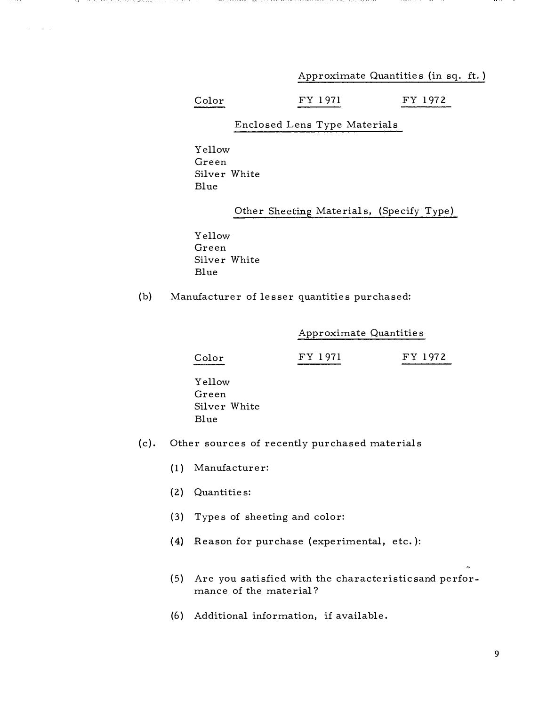Approximate Quantities (in sq. ft.)

Color FY 1971

e de distrito de estada facere

 $\mathcal{A} \subset \mathcal{A}$ 

FY 1972

Enclosed Lens Type Materials

Yellow Green Silver White Blue

**Service** 

# Other Sheeting Materials, (Specify Type)

Yellow Green Silver White Blue

### (b) Manufacturer of lesser quantities purchased:

Approximate Quantities

| Color        | FY 1971<br><b>BARN CARD COMPANY COMPANY COMPANY COMPANY</b> | FY 1972<br>فالانتقالا المفاسل المستخلا مناقذتنا أسمعت بالمستحدث |
|--------------|-------------------------------------------------------------|-----------------------------------------------------------------|
| Yellow       |                                                             |                                                                 |
| Green        |                                                             |                                                                 |
| Silver White |                                                             |                                                                 |
| Blue         |                                                             |                                                                 |

## (c). Other sources of recently purchased materials

- ( 1) Manufacturer:
- (2) Quantities:
- (3) Types of sheeting and color:
- (4) Reason for purchase (experimental, etc.):
- (5) Are you satisfied with the characteristicsand performance of the material?
- (6) Additional information, if available.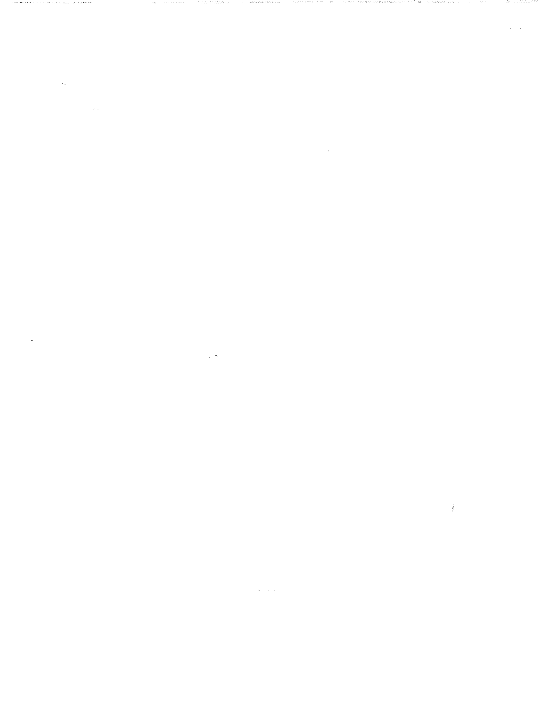$\label{eq:1} \mathcal{L}_{\text{max}} = \mathcal{L}_{\text{max}} + \mathcal{L}_{\text{max}} + \mathcal{L}_{\text{max}} + \mathcal{L}_{\text{max}} + \mathcal{L}_{\text{max}}$  $\label{eq:2.1} \frac{1}{\sqrt{2\pi}}\int_{0}^{\infty}\frac{d\mu}{\sqrt{2\pi}}\,d\mu\int_{0}^{\infty}\frac{d\mu}{\sqrt{2\pi}}\,d\mu\int_{0}^{\infty}\frac{d\mu}{\sqrt{2\pi}}\,d\mu\int_{0}^{\infty}\frac{d\mu}{\sqrt{2\pi}}\,d\mu\int_{0}^{\infty}\frac{d\mu}{\sqrt{2\pi}}\,d\mu\int_{0}^{\infty}\frac{d\mu}{\sqrt{2\pi}}\,d\mu\int_{0}^{\infty}\frac{d\mu}{\sqrt{2\pi}}\,d\mu\int_{$ 

. . . . . . .

 $\hat{\lambda}$  ,  $\hat{\lambda}$ 

 $\label{eq:2.1} \mathcal{L}(\mathcal{L}^{\text{max}}_{\text{max}}(\mathcal{L}^{\text{max}}_{\text{max}}(\mathcal{L}^{\text{max}}_{\text{max}}(\mathcal{L}^{\text{max}}_{\text{max}})))$ 

 $\label{eq:2} \frac{1}{\sqrt{2}}\left(\frac{1}{\sqrt{2}}\right)^{2} \left(\frac{1}{\sqrt{2}}\right)^{2} \left(\frac{1}{\sqrt{2}}\right)^{2} \left(\frac{1}{\sqrt{2}}\right)^{2} \left(\frac{1}{\sqrt{2}}\right)^{2} \left(\frac{1}{\sqrt{2}}\right)^{2} \left(\frac{1}{\sqrt{2}}\right)^{2} \left(\frac{1}{\sqrt{2}}\right)^{2} \left(\frac{1}{\sqrt{2}}\right)^{2} \left(\frac{1}{\sqrt{2}}\right)^{2} \left(\frac{1}{\sqrt{2}}\right)^{2} \left(\frac{$ 

# $\label{eq:2.1} \mathcal{L}(\mathcal{L}^{\mathcal{L}}_{\mathcal{L}}(\mathcal{L}^{\mathcal{L}}_{\mathcal{L}})) \leq \mathcal{L}(\mathcal{L}^{\mathcal{L}}_{\mathcal{L}}(\mathcal{L}^{\mathcal{L}}_{\mathcal{L}})) \leq \mathcal{L}(\mathcal{L}^{\mathcal{L}}_{\mathcal{L}}(\mathcal{L}^{\mathcal{L}}_{\mathcal{L}})) \leq \mathcal{L}(\mathcal{L}^{\mathcal{L}}_{\mathcal{L}}(\mathcal{L}^{\mathcal{L}}_{\mathcal{L}})) \leq \mathcal{L}(\mathcal{L$